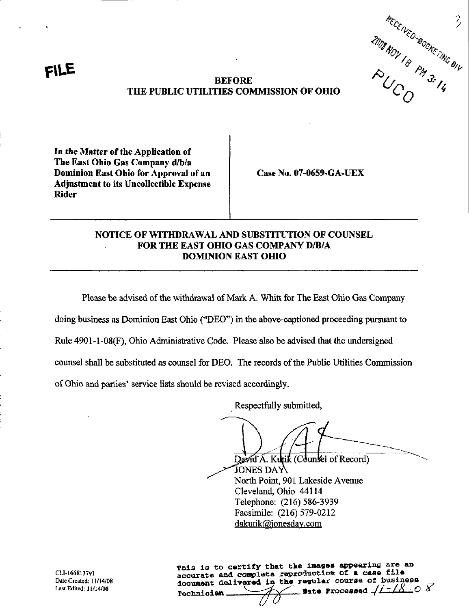RECEIVED BOOKETING BILL

## BEFORE THE PUBLIC UTILITIES COMMISSION OF OHIO

In the Matter of the Application of The East Ohio Gas Company d/b/a Dominion East Ohio for Approval of an Adjustment to its Uncollectible Expense Rider

f\UE

Case No. 07-0659-GA-UEX

## NOTICE OF WITHDRAWAL AND SUBSTITUTION OF COUNSEL FOR THE EAST OHIO GAS COMPANY D/B/A DOMINION EAST OHIO

Please be advised of the withdrawal of Mark A. Whitt for The East Ohio Gas Company

doing business as Dominion East Ohio ("DEO") in the above-captioned proceeding pursuant to

Rule 4901-1-08(F), Ohio Administrative Code. Please also be advised that the undersigned

counsel shall be substituted as counsel for DEO. The records of the Public Utilities Commission

of Ohio and parties' service lists should be revised accordingly.

Respectfully submitted,

David A. Kultik (Counsel of Record)  $\overline{\text{J} \text{OMES DAY}}$ North Point, 901 Lakeside Avenue Cleveland, Ohio 44114 Telephone: (216) 586-3939 Facsimile: (216) 579-0212 [dakutik@ionesdav.com](mailto:dakutik@ionesdav.com) 

Tais is to certify that the images appearing are an accurate and complete reproduction of a case file document delivered in the regular course of business rechnician  $\longrightarrow$   $\rightarrow$  Pate Processed  $/1 - 18$  ;0  $8$ 

CLI-1668137vl Date Created: 11/14/08 Last Edited: 11/14/08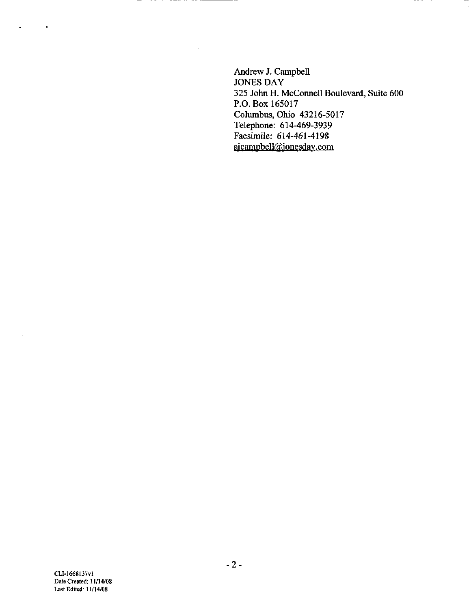Andrew J. Campbell JONES DAY 325 John H. McConnell Boulevard, Suite 600 P.O. Box 165017 Columbus, Ohio 43216-5017 Telephone: 614-469-3939 Facsimile: 614-461-4198 ajcampbell@jonesday.com

 $\bullet$